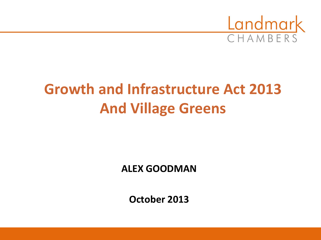

# **Growth and Infrastructure Act 2013 And Village Greens**

**ALEX GOODMAN**

**October 2013**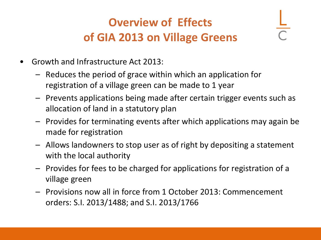### **Overview of Effects of GIA 2013 on Village Greens**

- Growth and Infrastructure Act 2013:
	- Reduces the period of grace within which an application for registration of a village green can be made to 1 year
	- Prevents applications being made after certain trigger events such as allocation of land in a statutory plan
	- Provides for terminating events after which applications may again be made for registration
	- Allows landowners to stop user as of right by depositing a statement with the local authority
	- Provides for fees to be charged for applications for registration of a village green
	- Provisions now all in force from 1 October 2013: Commencement orders: S.I. 2013/1488; and S.I. 2013/1766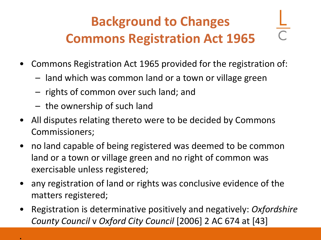# **Background to Changes Commons Registration Act 1965**

- Commons Registration Act 1965 provided for the registration of:
	- land which was common land or a town or village green
	- rights of common over such land; and
	- the ownership of such land

.

- All disputes relating thereto were to be decided by Commons Commissioners;
- no land capable of being registered was deemed to be common land or a town or village green and no right of common was exercisable unless registered;
- any registration of land or rights was conclusive evidence of the matters registered;
- Registration is determinative positively and negatively: *Oxfordshire County Council* v *Oxford City Council* [2006] 2 AC 674 at [43]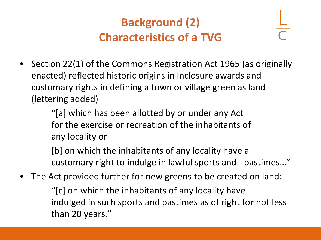### **Background (2) Characteristics of a TVG**

• Section 22(1) of the Commons Registration Act 1965 (as originally enacted) reflected historic origins in Inclosure awards and customary rights in defining a town or village green as land (lettering added)

> "[a] which has been allotted by or under any Act for the exercise or recreation of the inhabitants of any locality or

[b] on which the inhabitants of any locality have a customary right to indulge in lawful sports and pastimes…"

The Act provided further for new greens to be created on land:

"[c] on which the inhabitants of any locality have indulged in such sports and pastimes as of right for not less than 20 years."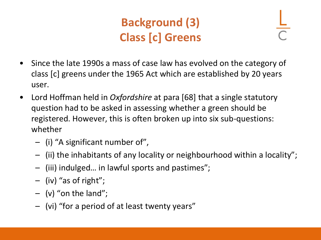### **Background (3) Class [c] Greens**

- Since the late 1990s a mass of case law has evolved on the category of class [c] greens under the 1965 Act which are established by 20 years user.
- Lord Hoffman held in *Oxfordshire* at para [68] that a single statutory question had to be asked in assessing whether a green should be registered. However, this is often broken up into six sub-questions: whether
	- (i) "A significant number of",
	- (ii) the inhabitants of any locality or neighbourhood within a locality";
	- (iii) indulged… in lawful sports and pastimes";
	- (iv) "as of right";
	- $-$  (v) "on the land";
	- (vi) "for a period of at least twenty years"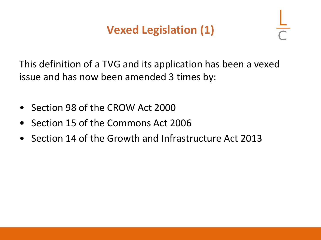### **Vexed Legislation (1)**

This definition of a TVG and its application has been a vexed issue and has now been amended 3 times by:

- Section 98 of the CROW Act 2000
- Section 15 of the Commons Act 2006
- Section 14 of the Growth and Infrastructure Act 2013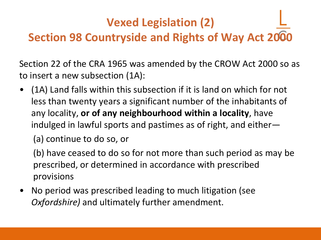### **Vexed Legislation (2)**

### **Section 98 Countryside and Rights of Way Act 2000**

Section 22 of the CRA 1965 was amended by the CROW Act 2000 so as to insert a new subsection (1A):

• (1A) Land falls within this subsection if it is land on which for not less than twenty years a significant number of the inhabitants of any locality, **or of any neighbourhood within a locality**, have indulged in lawful sports and pastimes as of right, and either—

(a) continue to do so, or

(b) have ceased to do so for not more than such period as may be prescribed, or determined in accordance with prescribed provisions

• No period was prescribed leading to much litigation (see *Oxfordshire)* and ultimately further amendment.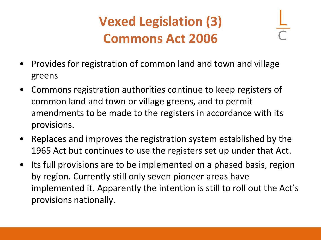# **Vexed Legislation (3) Commons Act 2006**

- Provides for registration of common land and town and village greens
- Commons registration authorities continue to keep registers of common land and town or village greens, and to permit amendments to be made to the registers in accordance with its provisions.
- Replaces and improves the registration system established by the 1965 Act but continues to use the registers set up under that Act.
- Its full provisions are to be implemented on a phased basis, region by region. Currently still only seven pioneer areas have implemented it. Apparently the intention is still to roll out the Act's provisions nationally.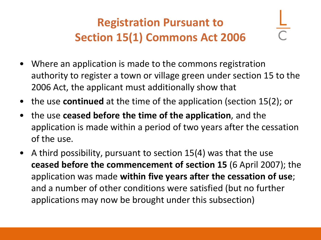### **Registration Pursuant to Section 15(1) Commons Act 2006**

- Where an application is made to the commons registration authority to register a town or village green under section 15 to the 2006 Act, the applicant must additionally show that
- the use **continued** at the time of the application (section 15(2); or
- the use **ceased before the time of the application**, and the application is made within a period of two years after the cessation of the use.
- A third possibility, pursuant to section 15(4) was that the use **ceased before the commencement of section 15** (6 April 2007); the application was made **within five years after the cessation of use**; and a number of other conditions were satisfied (but no further applications may now be brought under this subsection)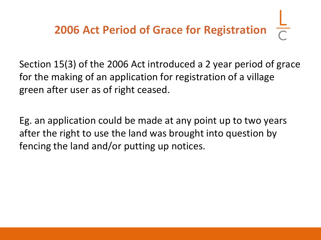# **2006 Act Period of Grace for Registration**

Section 15(3) of the 2006 Act introduced a 2 year period of grace for the making of an application for registration of a village green after user as of right ceased.

Eg. an application could be made at any point up to two years after the right to use the land was brought into question by fencing the land and/or putting up notices.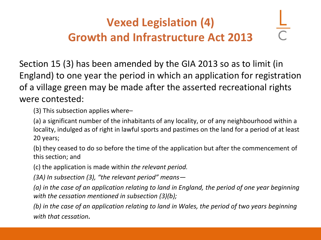### **Vexed Legislation (4) Growth and Infrastructure Act 2013**

Section 15 (3) has been amended by the GIA 2013 so as to limit (in England) to one year the period in which an application for registration of a village green may be made after the asserted recreational rights were contested:

(3) This subsection applies where–

(a) a significant number of the inhabitants of any locality, or of any neighbourhood within a locality, indulged as of right in lawful sports and pastimes on the land for a period of at least 20 years;

(b) they ceased to do so before the time of the application but after the commencement of this section; and

(c) the application is made within *the relevant period.* 

*(3A) In subsection (3), "the relevant period" means—*

*(a) in the case of an application relating to land in England, the period of one year beginning with the cessation mentioned in subsection (3)(b);*

*(b) in the case of an application relating to land in Wales, the period of two years beginning with that cessation.*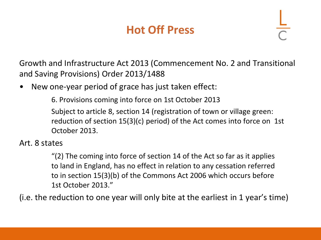### **Hot Off Press**

Growth and Infrastructure Act 2013 (Commencement No. 2 and Transitional and Saving Provisions) Order 2013/1488

New one-year period of grace has just taken effect:

6. Provisions coming into force on 1st October 2013

Subject to article 8, section 14 (registration of town or village green: reduction of section 15(3)(c) period) of the Act comes into force on 1st October 2013.

#### Art. 8 states

"(2) The coming into force of section 14 of the Act so far as it applies to land in England, has no effect in relation to any cessation referred to in section 15(3)(b) of the Commons Act 2006 which occurs before 1st October 2013."

(i.e. the reduction to one year will only bite at the earliest in 1 year's time)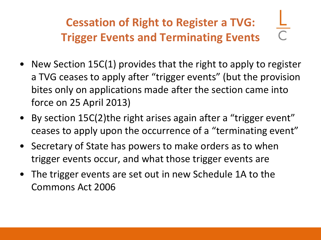## **Cessation of Right to Register a TVG: Trigger Events and Terminating Events**

- New Section 15C(1) provides that the right to apply to register a TVG ceases to apply after "trigger events" (but the provision bites only on applications made after the section came into force on 25 April 2013)
- By section 15C(2)the right arises again after a "trigger event" ceases to apply upon the occurrence of a "terminating event"
- Secretary of State has powers to make orders as to when trigger events occur, and what those trigger events are
- The trigger events are set out in new Schedule 1A to the Commons Act 2006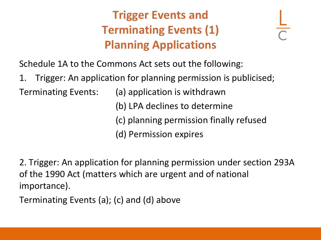### **Trigger Events and Terminating Events (1) Planning Applications**

Schedule 1A to the Commons Act sets out the following:

1. Trigger: An application for planning permission is publicised;

Terminating Events: (a) application is withdrawn

(b) LPA declines to determine

(c) planning permission finally refused

(d) Permission expires

2. Trigger: An application for planning permission under section 293A of the 1990 Act (matters which are urgent and of national importance).

Terminating Events (a); (c) and (d) above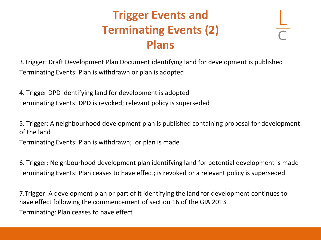### **Trigger Events and Terminating Events (2) Plans**

3.Trigger: Draft Development Plan Document identifying land for development is published Terminating Events: Plan is withdrawn or plan is adopted

4. Trigger DPD identifying land for development is adopted Terminating Events: DPD is revoked; relevant policy is superseded

5. Trigger: A neighbourhood development plan is published containing proposal for development of the land

Terminating Events: Plan is withdrawn; or plan is made

6. Trigger: Neighbourhood development plan identifying land for potential development is made Terminating Events: Plan ceases to have effect; is revoked or a relevant policy is superseded

7.Trigger: A development plan or part of it identifying the land for development continues to have effect following the commencement of section 16 of the GIA 2013. Terminating: Plan ceases to have effect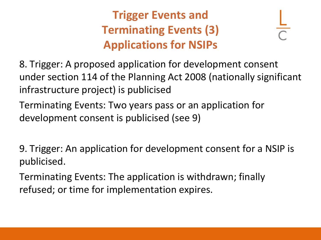### **Trigger Events and Terminating Events (3) Applications for NSIPs**

8. Trigger: A proposed application for development consent under section 114 of the Planning Act 2008 (nationally significant infrastructure project) is publicised

Terminating Events: Two years pass or an application for development consent is publicised (see 9)

9. Trigger: An application for development consent for a NSIP is publicised.

Terminating Events: The application is withdrawn; finally refused; or time for implementation expires.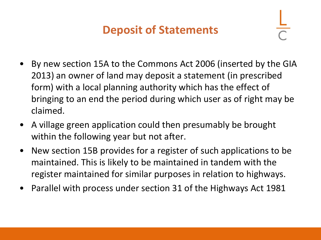### **Deposit of Statements**

- By new section 15A to the Commons Act 2006 (inserted by the GIA 2013) an owner of land may deposit a statement (in prescribed form) with a local planning authority which has the effect of bringing to an end the period during which user as of right may be claimed.
- A village green application could then presumably be brought within the following year but not after.
- New section 15B provides for a register of such applications to be maintained. This is likely to be maintained in tandem with the register maintained for similar purposes in relation to highways.
- Parallel with process under section 31 of the Highways Act 1981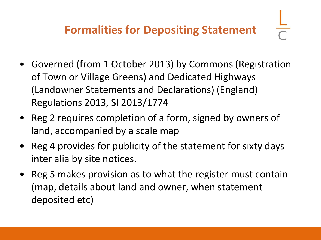- Governed (from 1 October 2013) by Commons (Registration of Town or Village Greens) and Dedicated Highways (Landowner Statements and Declarations) (England) Regulations 2013, SI 2013/1774
- Reg 2 requires completion of a form, signed by owners of land, accompanied by a scale map
- Reg 4 provides for publicity of the statement for sixty days inter alia by site notices.
- Reg 5 makes provision as to what the register must contain (map, details about land and owner, when statement deposited etc)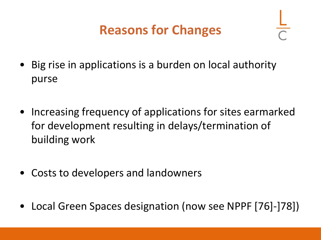### **Reasons for Changes**

- Big rise in applications is a burden on local authority purse
- Increasing frequency of applications for sites earmarked for development resulting in delays/termination of building work
- Costs to developers and landowners
- Local Green Spaces designation (now see NPPF [76]-]78])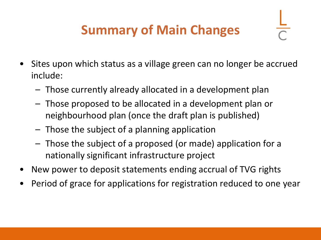# **Summary of Main Changes**

- Sites upon which status as a village green can no longer be accrued include:
	- Those currently already allocated in a development plan
	- Those proposed to be allocated in a development plan or neighbourhood plan (once the draft plan is published)
	- Those the subject of a planning application
	- Those the subject of a proposed (or made) application for a nationally significant infrastructure project
- New power to deposit statements ending accrual of TVG rights
- Period of grace for applications for registration reduced to one year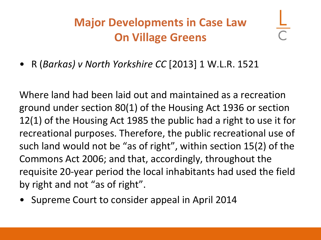### **Major Developments in Case Law On Village Greens**

• R (*Barkas) v North Yorkshire CC* [2013] 1 W.L.R. 1521

Where land had been laid out and maintained as a recreation ground under section 80(1) of the Housing Act 1936 or section 12(1) of the Housing Act 1985 the public had a right to use it for recreational purposes. Therefore, the public recreational use of such land would not be "as of right", within section 15(2) of the Commons Act 2006; and that, accordingly, throughout the requisite 20-year period the local inhabitants had used the field by right and not "as of right".

• Supreme Court to consider appeal in April 2014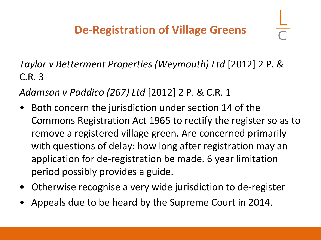*Taylor v Betterment Properties (Weymouth) Ltd* [2012] 2 P. & C.R. 3

*Adamson v Paddico (267) Ltd* [2012] 2 P. & C.R. 1

- Both concern the jurisdiction under section 14 of the Commons Registration Act 1965 to rectify the register so as to remove a registered village green. Are concerned primarily with questions of delay: how long after registration may an application for de-registration be made. 6 year limitation period possibly provides a guide.
- Otherwise recognise a very wide jurisdiction to de-register
- Appeals due to be heard by the Supreme Court in 2014.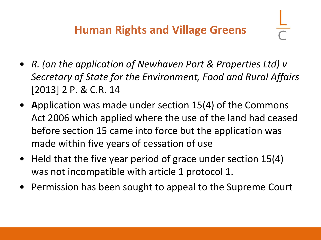- *R. (on the application of Newhaven Port & Properties Ltd) v Secretary of State for the Environment, Food and Rural Affairs*  [2013] 2 P. & C.R. 14
- **A**pplication was made under section 15(4) of the Commons Act 2006 which applied where the use of the land had ceased before section 15 came into force but the application was made within five years of cessation of use
- Held that the five year period of grace under section 15(4) was not incompatible with article 1 protocol 1.
- Permission has been sought to appeal to the Supreme Court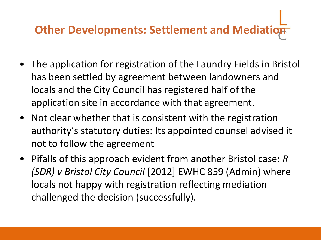# **Other Developments: Settlement and Mediation**

- The application for registration of the Laundry Fields in Bristol has been settled by agreement between landowners and locals and the City Council has registered half of the application site in accordance with that agreement.
- Not clear whether that is consistent with the registration authority's statutory duties: Its appointed counsel advised it not to follow the agreement
- Pifalls of this approach evident from another Bristol case: *R (SDR) v Bristol City Council* [2012] EWHC 859 (Admin) where locals not happy with registration reflecting mediation challenged the decision (successfully).